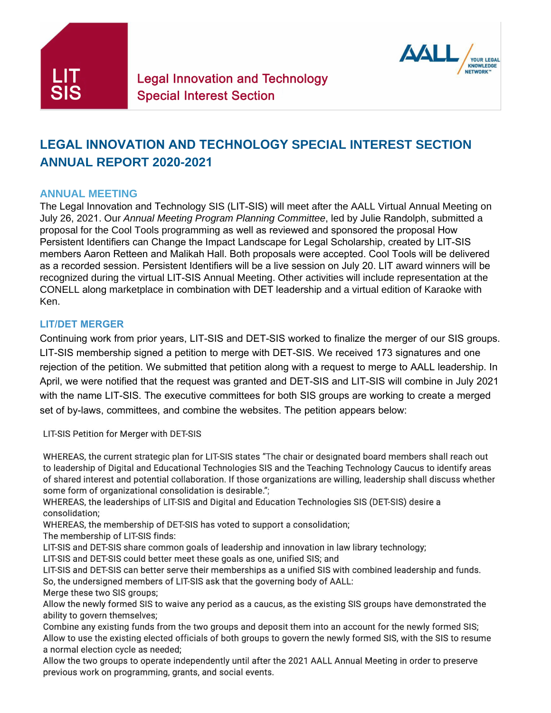



# **LEGAL INNOVATION AND TECHNOLOGY SPECIAL INTEREST SECTION ANNUAL REPORT 2020-2021**

## **ANNUAL MEETING**

The Legal Innovation and Technology SIS (LIT-SIS) will meet after the AALL Virtual Annual Meeting on July 26, 2021. Our *Annual Meeting Program Planning Committee*, led by Julie Randolph, submitted a proposal for the Cool Tools programming as well as reviewed and sponsored the proposal How Persistent Identifiers can Change the Impact Landscape for Legal Scholarship, created by LIT-SIS members Aaron Retteen and Malikah Hall. Both proposals were accepted. Cool Tools will be delivered as a recorded session. Persistent Identifiers will be a live session on July 20. LIT award winners will be recognized during the virtual LIT-SIS Annual Meeting. Other activities will include representation at the CONELL along marketplace in combination with DET leadership and a virtual edition of Karaoke with Ken.

#### **LIT/DET MERGER**

Continuing work from prior years, LIT-SIS and DET-SIS worked to finalize the merger of our SIS groups. LIT-SIS membership signed a petition to merge with DET-SIS. We received 173 signatures and one rejection of the petition. We submitted that petition along with a request to merge to AALL leadership. In April, we were notified that the request was granted and DET-SIS and LIT-SIS will combine in July 2021 with the name LIT-SIS. The executive committees for both SIS groups are working to create a merged set of by-laws, committees, and combine the websites. The petition appears below:

LIT-SIS Petition for Merger with DET-SIS

WHEREAS, the current strategic plan for LIT-SIS states "The chair or designated board members shall reach out to leadership of Digital and Educational Technologies SIS and the Teaching Technology Caucus to identify areas of shared interest and potential collaboration. If those organizations are willing, leadership shall discuss whether some form of organizational consolidation is desirable.";

WHEREAS, the leaderships of LIT-SIS and Digital and Education Technologies SIS (DET-SIS) desire a consolidation;

WHEREAS, the membership of DET-SIS has voted to support a consolidation;

The membership of LIT-SIS finds:

LIT-SIS and DET-SIS share common goals of leadership and innovation in law library technology;

LIT-SIS and DET-SIS could better meet these goals as one, unified SIS; and

LIT-SIS and DET-SIS can better serve their memberships as a unified SIS with combined leadership and funds. So, the undersigned members of LIT-SIS ask that the governing body of AALL:

Merge these two SIS groups;

Allow the newly formed SIS to waive any period as a caucus, as the existing SIS groups have demonstrated the ability to govern themselves;

Combine any existing funds from the two groups and deposit them into an account for the newly formed SIS; Allow to use the existing elected officials of both groups to govern the newly formed SIS, with the SIS to resume a normal election cycle as needed;

Allow the two groups to operate independently until after the 2021 AALL Annual Meeting in order to preserve previous work on programming, grants, and social events.